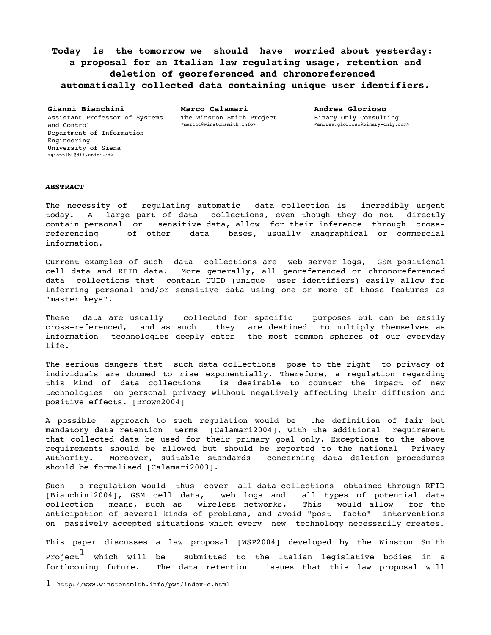**Today is the tomorrow we should have worried about yesterday: a proposal for an Italian law regulating usage, retention and deletion of georeferenced and chronoreferenced automatically collected data containing unique user identifiers.**

**Gianni Bianchini** Assistant Professor of Systems and Control Department of Information Engineering University of Siena <giannibi@dii.unisi.it>

**Marco Calamari** The Winston Smith Project <marcoc@winstonsmith.info>

**Andrea Glorioso** Binary Only Consulting <andrea.glorioso@binary-only.com>

## **ABSTRACT**

The necessity of regulating automatic data collection is incredibly urgent today. A large part of data collections, even though they do not directly contain personal or sensitive data, allow for their inference through crossreferencing of other data bases, usually anagraphical or commercial information.

Current examples of such data collections are web server logs, GSM positional cell data and RFID data. More generally, all georeferenced or chronoreferenced data collections that contain UUID (unique user identifiers) easily allow for inferring personal and/or sensitive data using one or more of those features as "master keys".

These data are usually collected for specific purposes but can be easily cross-referenced, and as such they are destined to multiply themselves as information technologies deeply enter the most common spheres of our everyday life.

The serious dangers that such data collections pose to the right to privacy of individuals are doomed to rise exponentially. Therefore, a regulation regarding this kind of data collections is desirable to counter the impact of new technologies on personal privacy without negatively affecting their diffusion and positive effects. [Brown2004]

A possible approach to such regulation would be the definition of fair but mandatory data retention terms [Calamari2004], with the additional requirement that collected data be used for their primary goal only. Exceptions to the above requirements should be allowed but should be reported to the national Privacy Authority. Moreover, suitable standards concerning data deletion procedures should be formalised [Calamari2003].

Such a regulation would thus cover all data collections obtained through RFID [Bianchini2004], GSM cell data, web logs and all types of potential data<br>collection means, such as wireless networks. This would allow for the collection means, such as wireless networks. This would allow for the anticipation of several kinds of problems, and avoid "post facto" interventions on passively accepted situations which every new technology necessarily creates.

This paper discusses a law proposal [WSP2004] developed by the Winston Smith Project $^1$ submitted to the Italian legislative bodies in a forthcoming future. The data retention issues that this law proposal will

<sup>1</sup> http://www.winstonsmith.info/pws/index-e.html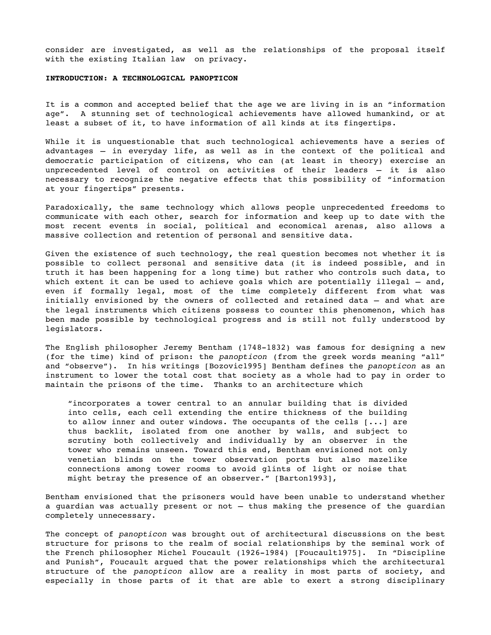consider are investigated, as well as the relationships of the proposal itself with the existing Italian law on privacy.

# **INTRODUCTION: A TECHNOLOGICAL PANOPTICON**

It is a common and accepted belief that the age we are living in is an "information age". A stunning set of technological achievements have allowed humankind, or at least a subset of it, to have information of all kinds at its fingertips.

While it is unquestionable that such technological achievements have a series of advantages – in everyday life, as well as in the context of the political and democratic participation of citizens, who can (at least in theory) exercise an unprecedented level of control on activities of their leaders – it is also necessary to recognize the negative effects that this possibility of "information at your fingertips" presents.

Paradoxically, the same technology which allows people unprecedented freedoms to communicate with each other, search for information and keep up to date with the most recent events in social, political and economical arenas, also allows a massive collection and retention of personal and sensitive data.

Given the existence of such technology, the real question becomes not whether it is possible to collect personal and sensitive data (it is indeed possible, and in truth it has been happening for a long time) but rather who controls such data, to which extent it can be used to achieve goals which are potentially illegal  $-$  and, even if formally legal, most of the time completely different from what was initially envisioned by the owners of collected and retained data – and what are the legal instruments which citizens possess to counter this phenomenon, which has been made possible by technological progress and is still not fully understood by legislators.

The English philosopher Jeremy Bentham (1748-1832) was famous for designing a new (for the time) kind of prison: the *panopticon* (from the greek words meaning "all" and "observe"). In his writings [Bozovic1995] Bentham defines the *panopticon* as an instrument to lower the total cost that society as a whole had to pay in order to maintain the prisons of the time. Thanks to an architecture which

"incorporates a tower central to an annular building that is divided into cells, each cell extending the entire thickness of the building to allow inner and outer windows. The occupants of the cells  $[\dots]$  are thus backlit, isolated from one another by walls, and subject to scrutiny both collectively and individually by an observer in the tower who remains unseen. Toward this end, Bentham envisioned not only venetian blinds on the tower observation ports but also mazelike connections among tower rooms to avoid glints of light or noise that might betray the presence of an observer." [Barton1993],

Bentham envisioned that the prisoners would have been unable to understand whether a guardian was actually present or not – thus making the presence of the guardian completely unnecessary.

The concept of *panopticon* was brought out of architectural discussions on the best structure for prisons to the realm of social relationships by the seminal work of the French philosopher Michel Foucault (1926-1984) [Foucault1975]. In "Discipline and Punish", Foucault argued that the power relationships which the architectural structure of the *panopticon* allow are a reality in most parts of society, and especially in those parts of it that are able to exert a strong disciplinary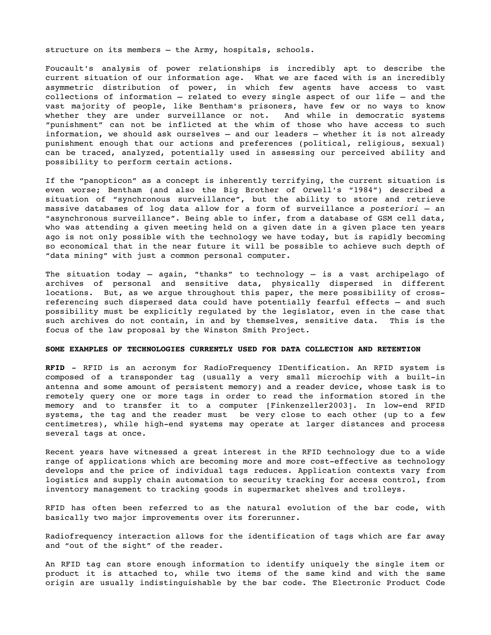structure on its members – the Army, hospitals, schools.

Foucault's analysis of power relationships is incredibly apt to describe the current situation of our information age. What we are faced with is an incredibly asymmetric distribution of power, in which few agents have access to vast collections of information – related to every single aspect of our life – and the vast majority of people, like Bentham's prisoners, have few or no ways to know whether they are under surveillance or not. And while in democratic systems "punishment" can not be inflicted at the whim of those who have access to such information, we should ask ourselves – and our leaders – whether it is not already punishment enough that our actions and preferences (political, religious, sexual) can be traced, analyzed, potentially used in assessing our perceived ability and possibility to perform certain actions.

If the "panopticon" as a concept is inherently terrifying, the current situation is even worse; Bentham (and also the Big Brother of Orwell's "1984") described a situation of "synchronous surveillance", but the ability to store and retrieve massive databases of log data allow for a form of surveillance *a posteriori* – an "asynchronous surveillance". Being able to infer, from a database of GSM cell data, who was attending a given meeting held on a given date in a given place ten years ago is not only possible with the technology we have today, but is rapidly becoming so economical that in the near future it will be possible to achieve such depth of "data mining" with just a common personal computer.

The situation today – again, "thanks" to technology – is a vast archipelago of archives of personal and sensitive data, physically dispersed in different locations. But, as we argue throughout this paper, the mere possibility of crossreferencing such dispersed data could have potentially fearful effects – and such possibility must be explicitly regulated by the legislator, even in the case that such archives do not contain, in and by themselves, sensitive data. This is the focus of the law proposal by the Winston Smith Project.

# **SOME EXAMPLES OF TECHNOLOGIES CURRENTLY USED FOR DATA COLLECTION AND RETENTION**

**RFID** RFID is an acronym for RadioFrequency IDentification. An RFID system is composed of a transponder tag (usually a very small microchip with a built-in antenna and some amount of persistent memory) and a reader device, whose task is to remotely query one or more tags in order to read the information stored in the memory and to transfer it to a computer [Finkenzeller2003]. In low-end RFID systems, the tag and the reader must be very close to each other (up to a few centimetres), while high-end systems may operate at larger distances and process several tags at once.

Recent years have witnessed a great interest in the RFID technology due to a wide range of applications which are becoming more and more cost-effective as technology develops and the price of individual tags reduces. Application contexts vary from logistics and supply chain automation to security tracking for access control, from inventory management to tracking goods in supermarket shelves and trolleys.

RFID has often been referred to as the natural evolution of the bar code, with basically two major improvements over its forerunner.

Radiofrequency interaction allows for the identification of tags which are far away and "out of the sight" of the reader.

An RFID tag can store enough information to identify uniquely the single item or product it is attached to, while two items of the same kind and with the same origin are usually indistinguishable by the bar code. The Electronic Product Code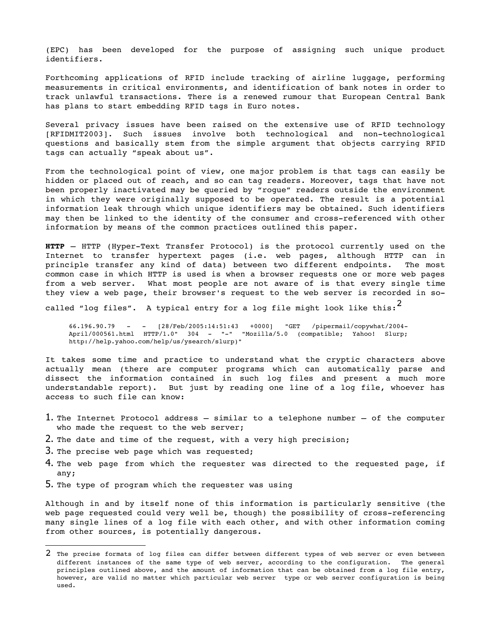(EPC) has been developed for the purpose of assigning such unique product identifiers.

Forthcoming applications of RFID include tracking of airline luggage, performing measurements in critical environments, and identification of bank notes in order to track unlawful transactions. There is a renewed rumour that European Central Bank has plans to start embedding RFID tags in Euro notes.

Several privacy issues have been raised on the extensive use of RFID technology [RFIDMIT2003]. Such issues involve both technological and nontechnological questions and basically stem from the simple argument that objects carrying RFID tags can actually "speak about us".

From the technological point of view, one major problem is that tags can easily be hidden or placed out of reach, and so can tag readers. Moreover, tags that have not been properly inactivated may be queried by "rogue" readers outside the environment in which they were originally supposed to be operated. The result is a potential information leak through which unique identifiers may be obtained. Such identifiers may then be linked to the identity of the consumer and cross-referenced with other information by means of the common practices outlined this paper.

**HTTP** – HTTP (Hyper-Text Transfer Protocol) is the protocol currently used on the Internet to transfer hypertext pages (i.e. web pages, although HTTP can in principle transfer any kind of data) between two different endpoints. The most common case in which HTTP is used is when a browser requests one or more web pages from a web server. What most people are not aware of is that every single time they view a web page, their browser's request to the web server is recorded in so-

called "log files". A typical entry for a log file might look like this: $^2$ 

66.196.90.79 [28/Feb/2005:14:51:43 +0000] "GET /pipermail/copywhat/2004 April/000561.html HTTP/1.0" 304 "" "Mozilla/5.0 (compatible; Yahoo! Slurp; http://help.yahoo.com/help/us/ysearch/slurp)"

It takes some time and practice to understand what the cryptic characters above actually mean (there are computer programs which can automatically parse and dissect the information contained in such log files and present a much more understandable report). But just by reading one line of a log file, whoever has access to such file can know:

- 1. The Internet Protocol address similar to a telephone number of the computer who made the request to the web server;
- 2. The date and time of the request, with a very high precision;
- 3. The precise web page which was requested;
- 4. The web page from which the requester was directed to the requested page, if any;
- 5. The type of program which the requester was using

Although in and by itself none of this information is particularly sensitive (the web page requested could very well be, though) the possibility of cross-referencing many single lines of a log file with each other, and with other information coming from other sources, is potentially dangerous.

<sup>2</sup> The precise formats of log files can differ between different types of web server or even between different instances of the same type of web server, according to the configuration. The general principles outlined above, and the amount of information that can be obtained from a log file entry, however, are valid no matter which particular web server type or web server configuration is being used.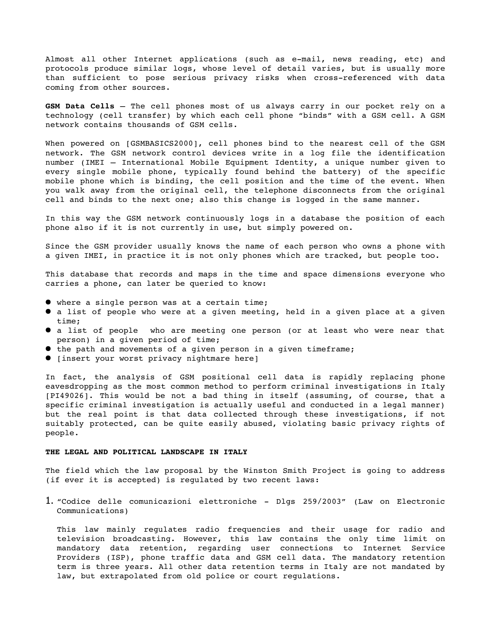Almost all other Internet applications (such as e-mail, news reading, etc) and protocols produce similar logs, whose level of detail varies, but is usually more than sufficient to pose serious privacy risks when cross-referenced with data coming from other sources.

**GSM Data Cells** – The cell phones most of us always carry in our pocket rely on a technology (cell transfer) by which each cell phone "binds" with a GSM cell. A GSM network contains thousands of GSM cells.

When powered on [GSMBASICS2000], cell phones bind to the nearest cell of the GSM network. The GSM network control devices write in a log file the identification number (IMEI – International Mobile Equipment Identity, a unique number given to every single mobile phone, typically found behind the battery) of the specific mobile phone which is binding, the cell position and the time of the event. When you walk away from the original cell, the telephone disconnects from the original cell and binds to the next one; also this change is logged in the same manner.

In this way the GSM network continuously logs in a database the position of each phone also if it is not currently in use, but simply powered on.

Since the GSM provider usually knows the name of each person who owns a phone with a given IMEI, in practice it is not only phones which are tracked, but people too.

This database that records and maps in the time and space dimensions everyone who carries a phone, can later be queried to know:

- where a single person was at a certain time;
- a list of people who were at a given meeting, held in a given place at a given time;
- a list of people who are meeting one person (or at least who were near that person) in a given period of time;
- the path and movements of a given person in a given timeframe;
- [insert your worst privacy nightmare here]

In fact, the analysis of GSM positional cell data is rapidly replacing phone eavesdropping as the most common method to perform criminal investigations in Italy [PI49026]. This would be not a bad thing in itself (assuming, of course, that a specific criminal investigation is actually useful and conducted in a legal manner) but the real point is that data collected through these investigations, if not suitably protected, can be quite easily abused, violating basic privacy rights of people.

# **THE LEGAL AND POLITICAL LANDSCAPE IN ITALY**

The field which the law proposal by the Winston Smith Project is going to address (if ever it is accepted) is regulated by two recent laws:

1. "Codice delle comunicazioni elettroniche Dlgs 259/2003" (Law on Electronic Communications)

This law mainly regulates radio frequencies and their usage for radio and television broadcasting. However, this law contains the only time limit on mandatory data retention, regarding user connections to Internet Service Providers (ISP), phone traffic data and GSM cell data. The mandatory retention term is three years. All other data retention terms in Italy are not mandated by law, but extrapolated from old police or court regulations.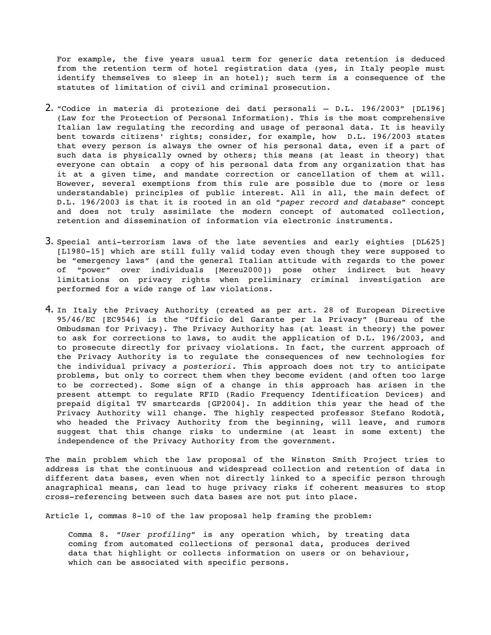For example, the five years usual term for generic data retention is deduced from the retention term of hotel registration data (yes, in Italy people must identify themselves to sleep in an hotel); such term is a consequence of the statutes of limitation of civil and criminal prosecution.

- 2. "Codice in materia di protezione dei dati personali D.L. 196/2003" [DL196] (Law for the Protection of Personal Information). This is the most comprehensive Italian law regulating the recording and usage of personal data. It is heavily bent towards citizens' rights; consider, for example, how D.L. 196/2003 states that every person is always the owner of his personal data, even if a part of such data is physically owned by others; this means (at least in theory) that everyone can obtain a copy of his personal data from any organization that has it at a given time, and mandate correction or cancellation of them at will. However, several exemptions from this rule are possible due to (more or less understandable) principles of public interest. All in all, the main defect of D.L. 196/2003 is that it is rooted in an old "*paper record and database*" concept and does not truly assimilate the modern concept of automated collection, retention and dissemination of information via electronic instruments.
- 3. Special anti-terrorism laws of the late seventies and early eighties  $[DL625]$ [L1980-15] which are still fully valid today even though they were supposed to be "emergency laws" (and the general Italian attitude with regards to the power of "power" over individuals [Mereu2000]) pose other indirect but heavy limitations on privacy rights when preliminary criminal investigation are performed for a wide range of law violations.
- 4. In Italy the Privacy Authority (created as per art. 28 of European Directive 95/46/EC [EC9546] is the "Ufficio del Garante per la Privacy" (Bureau of the Ombudsman for Privacy). The Privacy Authority has (at least in theory) the power to ask for corrections to laws, to audit the application of D.L. 196/2003, and to prosecute directly for privacy violations. In fact, the current approach of the Privacy Authority is to regulate the consequences of new technologies for the individual privacy *a posteriori*. This approach does not try to anticipate problems, but only to correct them when they become evident (and often too large to be corrected). Some sign of a change in this approach has arisen in the present attempt to regulate RFID (Radio Frequency Identification Devices) and prepaid digital TV smartcards [GP2004]. In addition this year the head of the Privacy Authority will change. The highly respected professor Stefano Rodotà, who headed the Privacy Authority from the beginning, will leave, and rumors suggest that this change risks to undermine (at least in some extent) the independence of the Privacy Authority from the government.

The main problem which the law proposal of the Winston Smith Project tries to address is that the continuous and widespread collection and retention of data in different data bases, even when not directly linked to a specific person through anagraphical means, can lead to huge privacy risks if coherent measures to stop cross-referencing between such data bases are not put into place.

Article 1, commas 8-10 of the law proposal help framing the problem:

Comma 8. "*User profiling*" is any operation which, by treating data coming from automated collections of personal data, produces derived data that highlight or collects information on users or on behaviour, which can be associated with specific persons.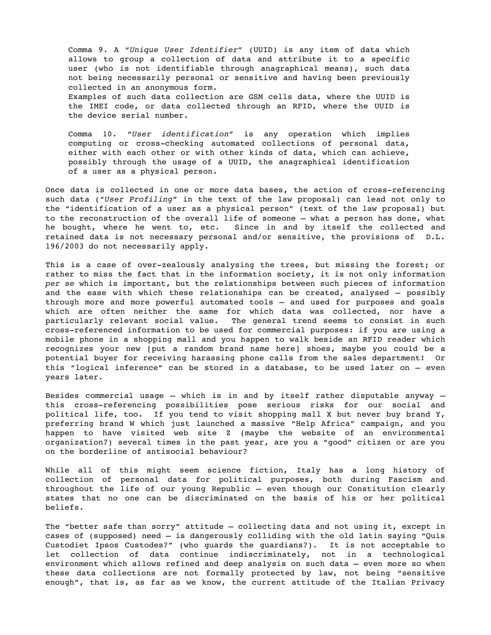Comma 9. A "*Unique User Identifier*" (UUID) is any item of data which allows to group a collection of data and attribute it to a specific user (who is not identifiable through anagraphical means), such data not being necessarily personal or sensitive and having been previously collected in an anonymous form.

Examples of such data collection are GSM cells data, where the UUID is the IMEI code, or data collected through an RFID, where the UUID is the device serial number.

Comma 10. "*User identification*" is any operation which implies computing or cross-checking automated collections of personal data, either with each other or with other kinds of data, which can achieve, possibly through the usage of a UUID, the anagraphical identification of a user as a physical person.

Once data is collected in one or more data bases, the action of cross-referencing such data ("*User Profiling*" in the text of the law proposal) can lead not only to the "identification of a user as a physical person" (text of the law proposal) but to the reconstruction of the overall life of someone – what a person has done, what he bought, where he went to, etc. Since in and by itself the collected and retained data is not necessary personal and/or sensitive, the provisions of D.L. 196/2003 do not necessarily apply.

This is a case of over-zealously analysing the trees, but missing the forest; or rather to miss the fact that in the information society, it is not only information *per se* which is important, but the relationships between such pieces of information and the ease with which these relationships can be created, analysed – possibly through more and more powerful automated tools – and used for purposes and goals which are often neither the same for which data was collected, nor have a particularly relevant social value. The general trend seems to consist in such cross-referenced information to be used for commercial purposes: if you are using a mobile phone in a shopping mall and you happen to walk beside an RFID reader which recognizes your new [put a random brand name here] shoes, maybe you could be a potential buyer for receiving harassing phone calls from the sales department! Or this "logical inference" can be stored in a database, to be used later on – even years later.

Besides commercial usage – which is in and by itself rather disputable anyway – this cross-referencing possibilities pose serious risks for our social and political life, too. If you tend to visit shopping mall X but never buy brand  $Y$ , preferring brand W which just launched a massive "Help Africa" campaign, and you happen to have visited web site Z (maybe the website of an environmental organization?) several times in the past year, are you a "good" citizen or are you on the borderline of antisocial behaviour?

While all of this might seem science fiction, Italy has a long history of collection of personal data for political purposes, both during Fascism and throughout the life of our young Republic – even though our Constitution clearly states that no one can be discriminated on the basis of his or her political beliefs.

The "better safe than sorry" attitude – collecting data and not using it, except in cases of (supposed) need – is dangerously colliding with the old latin saying "Quis Custodiet Ipsos Custodes?" (who guards the guardians?). It is not acceptable to let collection of data continue indiscriminately, not in a technological environment which allows refined and deep analysis on such data – even more so when these data collections are not formally protected by law, not being "sensitive enough", that is, as far as we know, the current attitude of the Italian Privacy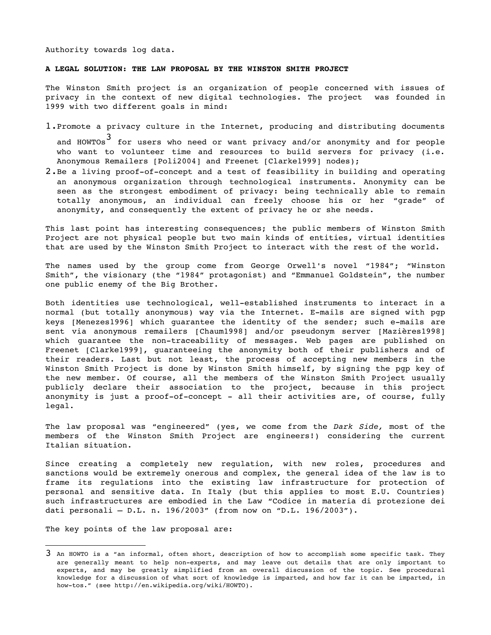Authority towards log data.

#### **A LEGAL SOLUTION: THE LAW PROPOSAL BY THE WINSTON SMITH PROJECT**

The Winston Smith project is an organization of people concerned with issues of privacy in the context of new digital technologies. The project was founded in 1999 with two different goals in mind:

- 1.Promote a privacy culture in the Internet, producing and distributing documents and HOWTOs $^{\text{3}}$  for users who need or want privacy and/or anonymity and for people who want to volunteer time and resources to build servers for privacy (i.e. Anonymous Remailers [Poli2004] and Freenet [Clarke1999] nodes);
- 2.Be a living proof-of-concept and a test of feasibility in building and operating an anonymous organization through technological instruments. Anonymity can be seen as the strongest embodiment of privacy: being technically able to remain totally anonymous, an individual can freely choose his or her "grade" of anonymity, and consequently the extent of privacy he or she needs.

This last point has interesting consequences; the public members of Winston Smith Project are not physical people but two main kinds of entities, virtual identities that are used by the Winston Smith Project to interact with the rest of the world.

The names used by the group come from George Orwell's novel "1984"; "Winston Smith", the visionary (the "1984" protagonist) and "Emmanuel Goldstein", the number one public enemy of the Big Brother.

Both identities use technological, well-established instruments to interact in a normal (but totally anonymous) way via the Internet. E-mails are signed with pgp keys [Menezes1996] which guarantee the identity of the sender; such e-mails are sent via anonymous remailers [Chaum1998] and/or pseudonym server [Mazières1998] which quarantee the non-traceability of messages. Web pages are published on Freenet [Clarke1999], guaranteeing the anonymity both of their publishers and of their readers. Last but not least, the process of accepting new members in the Winston Smith Project is done by Winston Smith himself, by signing the pgp key of the new member. Of course, all the members of the Winston Smith Project usually publicly declare their association to the project, because in this project anonymity is just a proof-of-concept - all their activities are, of course, fully legal.

The law proposal was "engineered" (yes, we come from the *Dark Side,* most of the members of the Winston Smith Project are engineers!) considering the current Italian situation.

Since creating a completely new regulation, with new roles, procedures and sanctions would be extremely onerous and complex, the general idea of the law is to frame its regulations into the existing law infrastructure for protection of personal and sensitive data. In Italy (but this applies to most E.U. Countries) such infrastructures are embodied in the Law "Codice in materia di protezione dei dati personali – D.L. n. 196/2003" (from now on "D.L. 196/2003").

The key points of the law proposal are:

<sup>3</sup> An HOWTO is <sup>a</sup> "an informal, often short, description of how to accomplish some specific task. They are generally meant to help non-experts, and may leave out details that are only important to experts, and may be greatly simplified from an overall discussion of the topic. See procedural knowledge for a discussion of what sort of knowledge is imparted, and how far it can be imparted, in how-tos." (see http://en.wikipedia.org/wiki/HOWTO).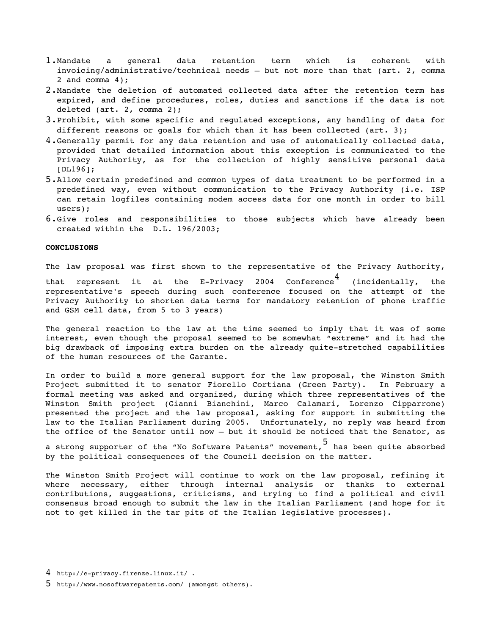- 1.Mandate a general data retention term which is coherent with invoicing/administrative/technical needs – but not more than that (art. 2, comma 2 and comma 4);
- 2.Mandate the deletion of automated collected data after the retention term has expired, and define procedures, roles, duties and sanctions if the data is not deleted (art. 2, comma 2);
- 3.Prohibit, with some specific and regulated exceptions, any handling of data for different reasons or goals for which than it has been collected (art. 3);
- 4.Generally permit for any data retention and use of automatically collected data, provided that detailed information about this exception is communicated to the Privacy Authority, as for the collection of highly sensitive personal data [DL196];
- 5.Allow certain predefined and common types of data treatment to be performed in a predefined way, even without communication to the Privacy Authority (i.e. ISP can retain logfiles containing modem access data for one month in order to bill users);
- 6.Give roles and responsibilities to those subjects which have already been created within the D.L. 196/2003;

## **CONCLUSIONS**

The law proposal was first shown to the representative of the Privacy Authority,

that represent it at the E-Privacy 2004 Conference  $^4$ (incidentally, the representative's speech during such conference focused on the attempt of the Privacy Authority to shorten data terms for mandatory retention of phone traffic and GSM cell data, from 5 to 3 years)

The general reaction to the law at the time seemed to imply that it was of some interest, even though the proposal seemed to be somewhat "extreme" and it had the big drawback of imposing extra burden on the already quite-stretched capabilities of the human resources of the Garante.

In order to build a more general support for the law proposal, the Winston Smith Project submitted it to senator Fiorello Cortiana (Green Party). In February a formal meeting was asked and organized, during which three representatives of the Winston Smith project (Gianni Bianchini, Marco Calamari, Lorenzo Cipparrone) presented the project and the law proposal, asking for support in submitting the law to the Italian Parliament during 2005. Unfortunately, no reply was heard from the office of the Senator until now – but it should be noticed that the Senator, as

a strong supporter of the "No Software Patents" movement, 5 has been quite absorbed by the political consequences of the Council decision on the matter.

The Winston Smith Project will continue to work on the law proposal, refining it where necessary, either through internal analysis or thanks to external contributions, suggestions, criticisms, and trying to find a political and civil consensus broad enough to submit the law in the Italian Parliament (and hope for it not to get killed in the tar pits of the Italian legislative processes).

<sup>4</sup> http://eprivacy.firenze.linux.it/ .

<sup>5</sup> http://www.nosoftwarepatents.com/ (amongst others).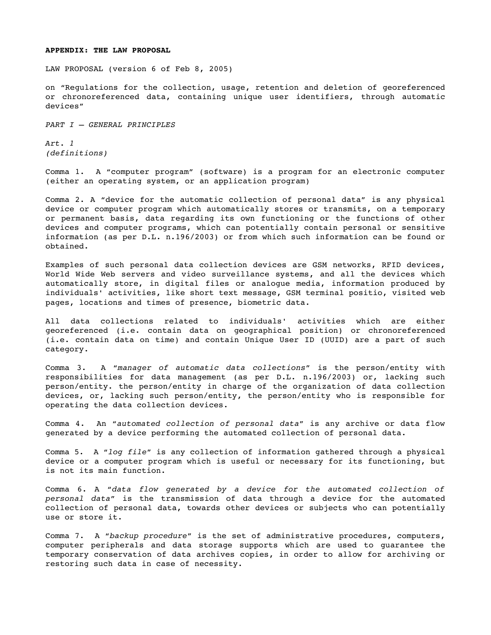# **APPENDIX: THE LAW PROPOSAL**

LAW PROPOSAL (version 6 of Feb 8, 2005)

on "Regulations for the collection, usage, retention and deletion of georeferenced or chronoreferenced data, containing unique user identifiers, through automatic devices"

*PART I – GENERAL PRINCIPLES*

*Art. 1 (definitions)*

Comma 1. A "computer program" (software) is a program for an electronic computer (either an operating system, or an application program)

Comma 2. A "device for the automatic collection of personal data" is any physical device or computer program which automatically stores or transmits, on a temporary or permanent basis, data regarding its own functioning or the functions of other devices and computer programs, which can potentially contain personal or sensitive information (as per D.L. n.196/2003) or from which such information can be found or obtained.

Examples of such personal data collection devices are GSM networks, RFID devices, World Wide Web servers and video surveillance systems, and all the devices which automatically store, in digital files or analogue media, information produced by individuals' activities, like short text message, GSM terminal positio, visited web pages, locations and times of presence, biometric data.

All data collections related to individuals' activities which are either georeferenced (i.e. contain data on geographical position) or chronoreferenced (i.e. contain data on time) and contain Unique User ID (UUID) are a part of such category.

Comma 3. A "*manager of automatic data collections*" is the person/entity with responsibilities for data management (as per D.L. n.196/2003) or, lacking such person/entity. the person/entity in charge of the organization of data collection devices, or, lacking such person/entity, the person/entity who is responsible for operating the data collection devices.

Comma 4. An "*automated collection of personal data*" is any archive or data flow generated by a device performing the automated collection of personal data.

Comma 5. A "*log file*" is any collection of information gathered through a physical device or a computer program which is useful or necessary for its functioning, but is not its main function.

Comma 6. A "*data flow generated by a device for the automated collection of personal data*" is the transmission of data through a device for the automated collection of personal data, towards other devices or subjects who can potentially use or store it.

Comma 7. A "*backup procedure*" is the set of administrative procedures, computers, computer peripherals and data storage supports which are used to guarantee the temporary conservation of data archives copies, in order to allow for archiving or restoring such data in case of necessity.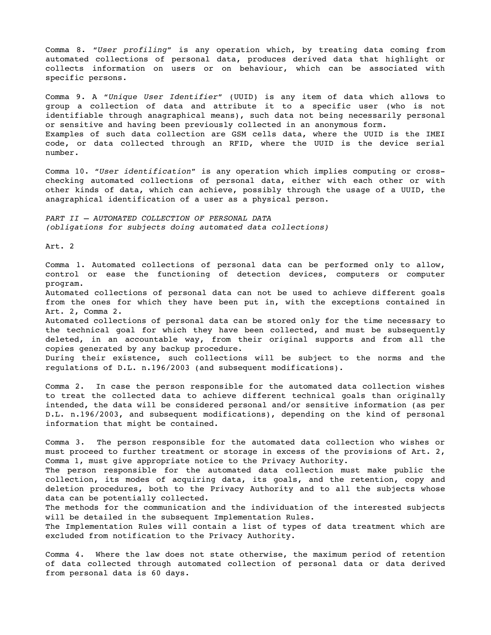Comma 8. "*User profiling*" is any operation which, by treating data coming from automated collections of personal data, produces derived data that highlight or collects information on users or on behaviour, which can be associated with specific persons.

Comma 9. A "*Unique User Identifier*" (UUID) is any item of data which allows to group a collection of data and attribute it to a specific user (who is not identifiable through anagraphical means), such data not being necessarily personal or sensitive and having been previously collected in an anonymous form. Examples of such data collection are GSM cells data, where the UUID is the IMEI code, or data collected through an RFID, where the UUID is the device serial number.

Comma 10. "*User identification*" is any operation which implies computing or crosschecking automated collections of personal data, either with each other or with other kinds of data, which can achieve, possibly through the usage of a UUID, the anagraphical identification of a user as a physical person.

*PART II – AUTOMATED COLLECTION OF PERSONAL DATA (obligations for subjects doing automated data collections)*

Art. 2

Comma 1. Automated collections of personal data can be performed only to allow, control or ease the functioning of detection devices, computers or computer program.

Automated collections of personal data can not be used to achieve different goals from the ones for which they have been put in, with the exceptions contained in Art. 2, Comma 2.

Automated collections of personal data can be stored only for the time necessary to the technical goal for which they have been collected, and must be subsequently deleted, in an accountable way, from their original supports and from all the copies generated by any backup procedure.

During their existence, such collections will be subject to the norms and the regulations of D.L. n.196/2003 (and subsequent modifications).

Comma 2. In case the person responsible for the automated data collection wishes to treat the collected data to achieve different technical goals than originally intended, the data will be considered personal and/or sensitive information (as per D.L. n.196/2003, and subsequent modifications), depending on the kind of personal information that might be contained.

Comma 3. The person responsible for the automated data collection who wishes or must proceed to further treatment or storage in excess of the provisions of Art. 2, Comma 1, must give appropriate notice to the Privacy Authority.

The person responsible for the automated data collection must make public the collection, its modes of acquiring data, its goals, and the retention, copy and deletion procedures, both to the Privacy Authority and to all the subjects whose data can be potentially collected.

The methods for the communication and the individuation of the interested subjects will be detailed in the subsequent Implementation Rules.

The Implementation Rules will contain a list of types of data treatment which are excluded from notification to the Privacy Authority.

Comma 4. Where the law does not state otherwise, the maximum period of retention of data collected through automated collection of personal data or data derived from personal data is 60 days.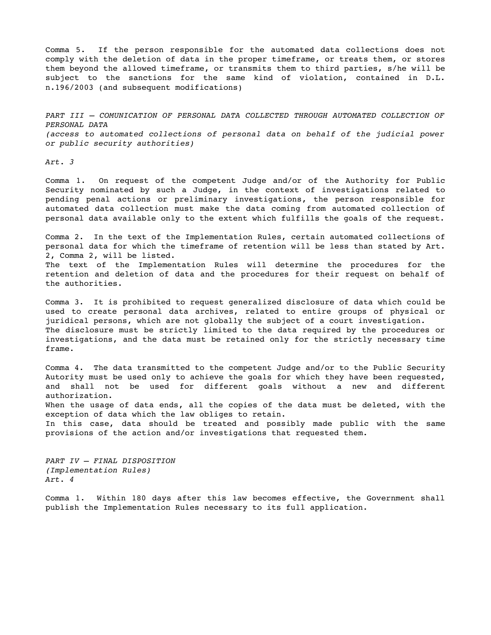Comma 5. If the person responsible for the automated data collections does not comply with the deletion of data in the proper timeframe, or treats them, or stores them beyond the allowed timeframe, or transmits them to third parties, s/he will be subject to the sanctions for the same kind of violation, contained in D.L. n.196/2003 (and subsequent modifications)

*PART III – COMUNICATION OF PERSONAL DATA COLLECTED THROUGH AUTOMATED COLLECTION OF PERSONAL DATA (access to automated collections of personal data on behalf of the judicial power or public security authorities)*

*Art. 3*

Comma 1. On request of the competent Judge and/or of the Authority for Public Security nominated by such a Judge, in the context of investigations related to pending penal actions or preliminary investigations, the person responsible for automated data collection must make the data coming from automated collection of personal data available only to the extent which fulfills the goals of the request.

Comma 2. In the text of the Implementation Rules, certain automated collections of personal data for which the timeframe of retention will be less than stated by Art. 2, Comma 2, will be listed.

The text of the Implementation Rules will determine the procedures for the retention and deletion of data and the procedures for their request on behalf of the authorities.

Comma 3. It is prohibited to request generalized disclosure of data which could be used to create personal data archives, related to entire groups of physical or juridical persons, which are not globally the subject of a court investigation. The disclosure must be strictly limited to the data required by the procedures or investigations, and the data must be retained only for the strictly necessary time frame.

Comma 4. The data transmitted to the competent Judge and/or to the Public Security Autority must be used only to achieve the goals for which they have been requested, and shall not be used for different goals without a new and different authorization.

When the usage of data ends, all the copies of the data must be deleted, with the exception of data which the law obliges to retain.

In this case, data should be treated and possibly made public with the same provisions of the action and/or investigations that requested them.

*PART IV – FINAL DISPOSITION (Implementation Rules) Art. 4*

Comma 1. Within 180 days after this law becomes effective, the Government shall publish the Implementation Rules necessary to its full application.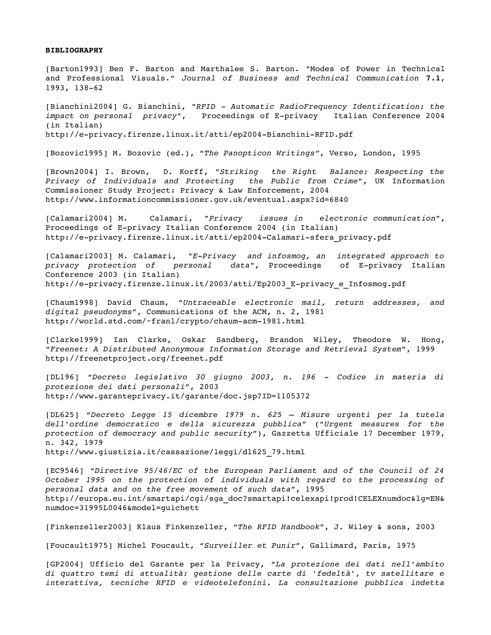## **BIBLIOGRAPHY**

[Barton1993] Ben F. Barton and Marthalee S. Barton. "Modes of Power in Technical and Professional Visuals." *Journal of Business and Technical Communication* **7.1**, 1993, 138-62

[Bianchini2004] G. Bianchini, "*RFID Automatic RadioFrequency Identification: the impact* on *personal* privacy", Proceedings of E-privacy Italian Conference 2004 (in Italian) http://e-privacy.firenze.linux.it/atti/ep2004-Bianchini-RFID.pdf

[Bozovic1995] M. Bozovic (ed.), "*The Panopticon Writings"*, Verso, London, 1995

[Brown2004] I. Brown, D. Korff, *"Striking the Right Balance: Respecting the Privacy of Individuals and Protecting the Public from Crime"*, UK Information Commissioner Study Project: Privacy & Law Enforcement, 2004 http://www.informationcommissioner.gov.uk/eventual.aspx?id=6840

[Calamari2004] M. Calamari, *"Privacy issues in electronic communication"*, Proceedings of E-privacy Italian Conference 2004 (in Italian) http://e-privacy.firenze.linux.it/atti/ep2004-Calamari-sfera privacy.pdf

[Calamari2003] M. Calamari, *"EPrivacy and infosmog, an integrated approach to privacy protection of personal data", Proceedings of E-privacy Italian* Conference 2003 (in Italian) http://e-privacy.firenze.linux.it/2003/atti/Ep2003 E-privacy e Infosmog.pdf

[Chaum1998] David Chaum, "*Untraceable electronic mail, return addresses, and digital pseudonyms*", Communications of the ACM, n. 2, 1981 http://world.std.com/~franl/crypto/chaum-acm-1981.html

[Clarke1999] Ian Clarke, Oskar Sandberg, Brandon Wiley, Theodore W. Hong, "*Freenet: A Distributed Anonymous Information Storage and Retrieval System*", 1999 http://freenetproject.org/freenet.pdf

[DL196] "*Decreto legislativo 30 giugno 2003, n. 196 Codice in materia di protezione dei dati personali*", 2003 http://www.garanteprivacy.it/garante/doc.jsp?ID=1105372

[DL625] "*Decreto Legge 15 dicembre 1979 n. 625 – Misure urgenti per la tutela dell'ordine democratico e della sicurezza pubblica*" ("*Urgent measures for the protection of democracy and public security*"), Gazzetta Ufficiale 17 December 1979, n. 342*,* 1979

http://www.giustizia.it/cassazione/leggi/dl625\_79.html

[EC9546] "*Directive 95/46/EC of the European Parliament and of the Council of 24 October 1995 on the protection of individuals with regard to the processing of personal data and on the free movement of such data*", 1995 http://europa.eu.int/smartapi/cgi/sga\_doc?smartapi!celexapi!prod!CELEXnumdoc&lg=EN& numdoc=31995L0046&model=guichett

[Finkenzeller2003] Klaus Finkenzeller, "*The RFID Handbook*", J. Wiley & sons, 2003

[Foucault1975] Michel Foucault, "*Surveiller et Punir*", Gallimard, Paris, 1975

[GP2004] Ufficio del Garante per la Privacy, "*La protezione dei dati nell'ambito di quattro temi di attualità: gestione delle carte di 'fedeltà', tv satellitare e interattiva, tecniche RFID e videotelefonini. La consultazione pubblica indetta*